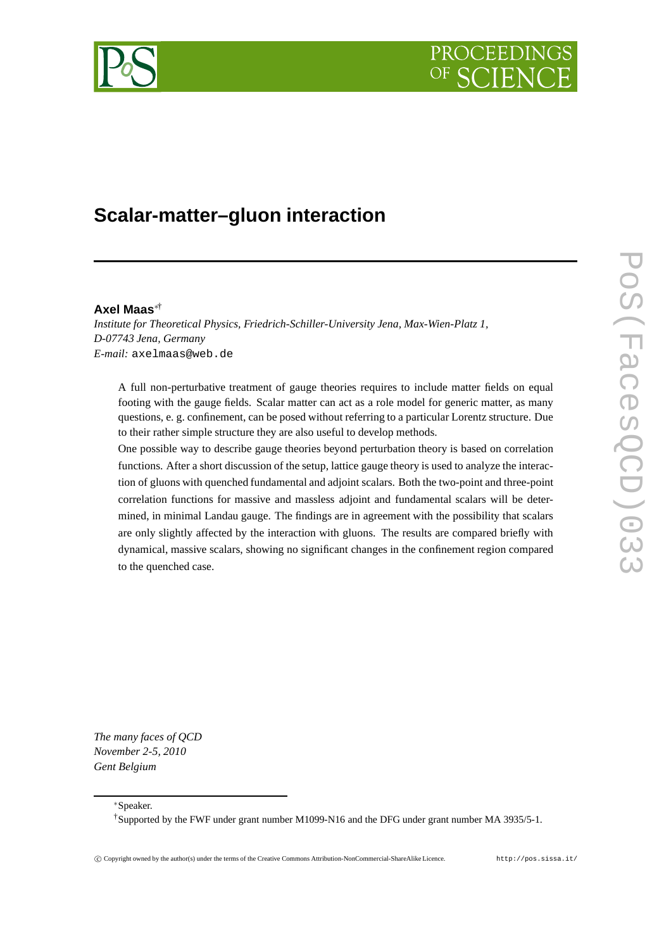# PROCEEDIN



# **Scalar-matter–gluon interaction**

### **Axel Maas**∗†

*Institute for Theoretical Physics, Friedrich-Schiller-University Jena, Max-Wien-Platz 1, D-07743 Jena, Germany E-mail:* axelmaas@web.de

A full non-perturbative treatment of gauge theories requires to include matter fields on equal footing with the gauge fields. Scalar matter can act as a role model for generic matter, as many questions, e. g. confinement, can be posed without referring to a particular Lorentz structure. Due to their rather simple structure they are also useful to develop methods.

One possible way to describe gauge theories beyond perturbation theory is based on correlation functions. After a short discussion of the setup, lattice gauge theory is used to analyze the interaction of gluons with quenched fundamental and adjoint scalars. Both the two-point and three-point correlation functions for massive and massless adjoint and fundamental scalars will be determined, in minimal Landau gauge. The findings are in agreement with the possibility that scalars are only slightly affected by the interaction with gluons. The results are compared briefly with dynamical, massive scalars, showing no significant changes in the confinement region compared to the quenched case.

*The many faces of QCD November 2-5, 2010 Gent Belgium*

<sup>∗</sup>Speaker.

†Supported by the FWF under grant number M1099-N16 and the DFG under grant number MA 3935/5-1.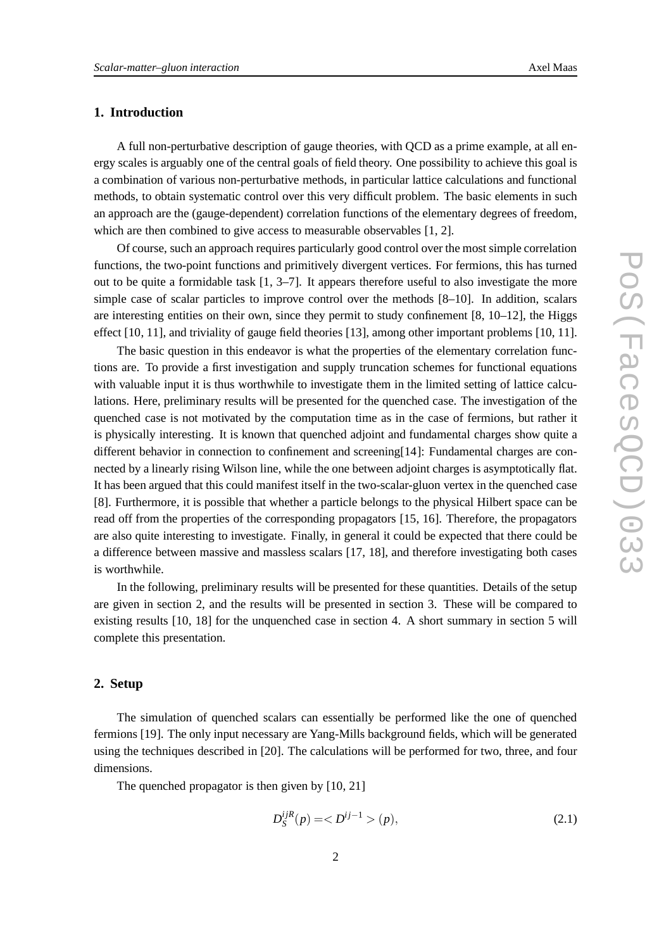# **1. Introduction**

A full non-perturbative description of gauge theories, with QCD as a prime example, at all energy scales is arguably one of the central goals of field theory. One possibility to achieve this goal is a combination of various non-perturbative methods, in particular lattice calculations and functional methods, to obtain systematic control over this very difficult problem. The basic elements in such an approach are the (gauge-dependent) correlation functions of the elementary degrees of freedom, which are then combined to give access to measurable observables [1, 2].

Of course, such an approach requires particularly good control over the most simple correlation functions, the two-point functions and primitively divergent vertices. For fermions, this has turned out to be quite a formidable task  $[1, 3-7]$ . It appears therefore useful to also investigate the more simple case of scalar particles to improve control over the methods [8–10]. In addition, scalars are interesting entities on their own, since they permit to study confinement [8, 10–12], the Higgs effect [10, 11], and triviality of gauge field theories [13], among other important problems [10, 11].

The basic question in this endeavor is what the properties of the elementary correlation functions are. To provide a first investigation and supply truncation schemes for functional equations with valuable input it is thus worthwhile to investigate them in the limited setting of lattice calculations. Here, preliminary results will be presented for the quenched case. The investigation of the quenched case is not motivated by the computation time as in the case of fermions, but rather it is physically interesting. It is known that quenched adjoint and fundamental charges show quite a different behavior in connection to confinement and screening[14]: Fundamental charges are connected by a linearly rising Wilson line, while the one between adjoint charges is asymptotically flat. It has been argued that this could manifest itself in the two-scalar-gluon vertex in the quenched case [8]. Furthermore, it is possible that whether a particle belongs to the physical Hilbert space can be read off from the properties of the corresponding propagators [15, 16]. Therefore, the propagators are also quite interesting to investigate. Finally, in general it could be expected that there could be a difference between massive and massless scalars [17, 18], and therefore investigating both cases is worthwhile.

In the following, preliminary results will be presented for these quantities. Details of the setup are given in section 2, and the results will be presented in section 3. These will be compared to existing results [10, 18] for the unquenched case in section 4. A short summary in section 5 will complete this presentation.

#### **2. Setup**

The simulation of quenched scalars can essentially be performed like the one of quenched fermions [19]. The only input necessary are Yang-Mills background fields, which will be generated using the techniques described in [20]. The calculations will be performed for two, three, and four dimensions.

The quenched propagator is then given by [10, 21]

$$
D_S^{ijR}(p) = \langle D^{ij-1} \rangle(p),\tag{2.1}
$$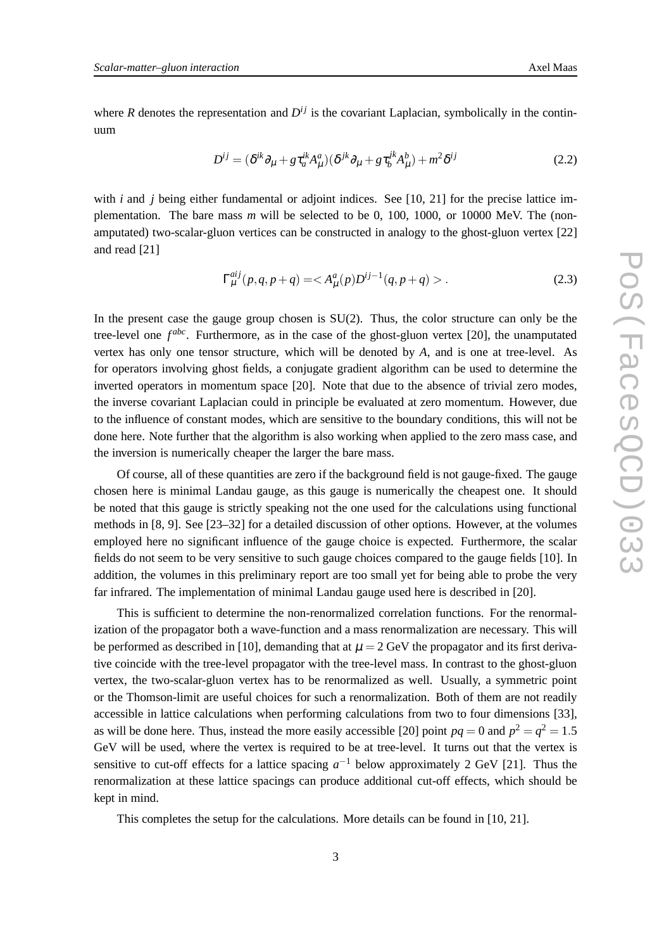where *R* denotes the representation and  $D^{ij}$  is the covariant Laplacian, symbolically in the continuum

$$
D^{ij} = (\delta^{ik}\partial_{\mu} + g\tau_a^{ik}A^a_{\mu})(\delta^{jk}\partial_{\mu} + g\tau_b^{jk}A^b_{\mu}) + m^2\delta^{ij}
$$
 (2.2)

with *i* and *j* being either fundamental or adjoint indices. See [10, 21] for the precise lattice implementation. The bare mass *m* will be selected to be 0, 100, 1000, or 10000 MeV. The (nonamputated) two-scalar-gluon vertices can be constructed in analogy to the ghost-gluon vertex [22] and read [21]

$$
\Gamma_{\mu}^{aij}(p,q,p+q) = \langle A_{\mu}^{a}(p)D^{ij-1}(q,p+q) \rangle. \tag{2.3}
$$

In the present case the gauge group chosen is SU(2). Thus, the color structure can only be the tree-level one  $f^{abc}$ . Furthermore, as in the case of the ghost-gluon vertex [20], the unamputated vertex has only one tensor structure, which will be denoted by *A*, and is one at tree-level. As for operators involving ghost fields, a conjugate gradient algorithm can be used to determine the inverted operators in momentum space [20]. Note that due to the absence of trivial zero modes, the inverse covariant Laplacian could in principle be evaluated at zero momentum. However, due to the influence of constant modes, which are sensitive to the boundary conditions, this will not be done here. Note further that the algorithm is also working when applied to the zero mass case, and the inversion is numerically cheaper the larger the bare mass.

Of course, all of these quantities are zero if the background field is not gauge-fixed. The gauge chosen here is minimal Landau gauge, as this gauge is numerically the cheapest one. It should be noted that this gauge is strictly speaking not the one used for the calculations using functional methods in [8, 9]. See [23–32] for a detailed discussion of other options. However, at the volumes employed here no significant influence of the gauge choice is expected. Furthermore, the scalar fields do not seem to be very sensitive to such gauge choices compared to the gauge fields [10]. In addition, the volumes in this preliminary report are too small yet for being able to probe the very far infrared. The implementation of minimal Landau gauge used here is described in [20].

This is sufficient to determine the non-renormalized correlation functions. For the renormalization of the propagator both a wave-function and a mass renormalization are necessary. This will be performed as described in [10], demanding that at  $\mu = 2$  GeV the propagator and its first derivative coincide with the tree-level propagator with the tree-level mass. In contrast to the ghost-gluon vertex, the two-scalar-gluon vertex has to be renormalized as well. Usually, a symmetric point or the Thomson-limit are useful choices for such a renormalization. Both of them are not readily accessible in lattice calculations when performing calculations from two to four dimensions [33], as will be done here. Thus, instead the more easily accessible [20] point  $pq = 0$  and  $p^2 = q^2 = 1.5$ GeV will be used, where the vertex is required to be at tree-level. It turns out that the vertex is sensitive to cut-off effects for a lattice spacing  $a^{-1}$  below approximately 2 GeV [21]. Thus the renormalization at these lattice spacings can produce additional cut-off effects, which should be kept in mind.

This completes the setup for the calculations. More details can be found in [10, 21].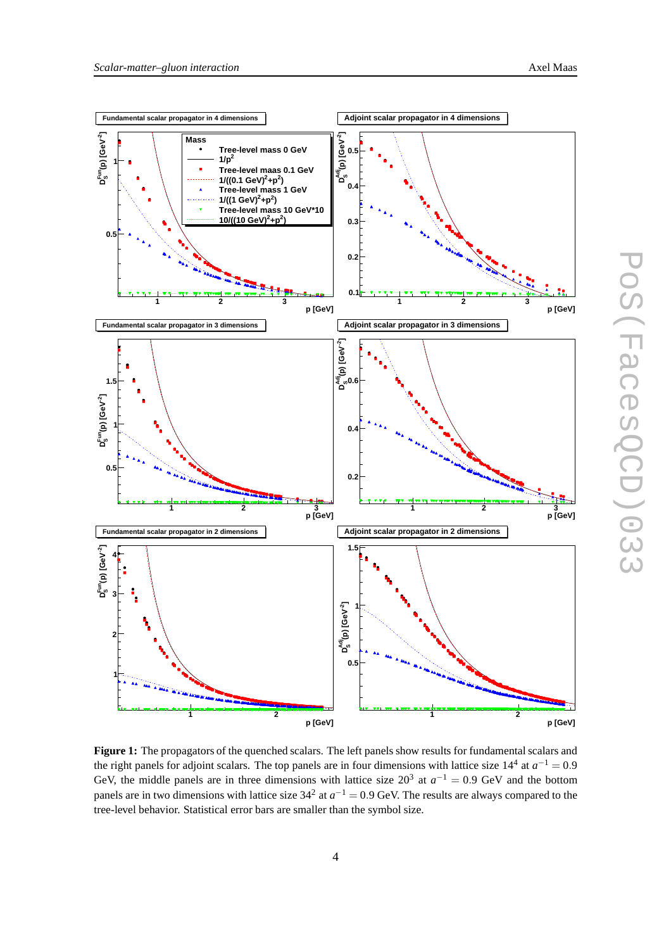

Figure 1: The propagators of the quenched scalars. The left panels show results for fundamental scalars and the right panels for adjoint scalars. The top panels are in four dimensions with lattice size  $14^4$  at  $a^{-1} = 0.9$ GeV, the middle panels are in three dimensions with lattice size  $20^3$  at  $a^{-1} = 0.9$  GeV and the bottom panels are in two dimensions with lattice size  $34^2$  at  $a^{-1} = 0.9$  GeV. The results are always compared to the tree-level behavior. Statistical error bars are smaller than the symbol size.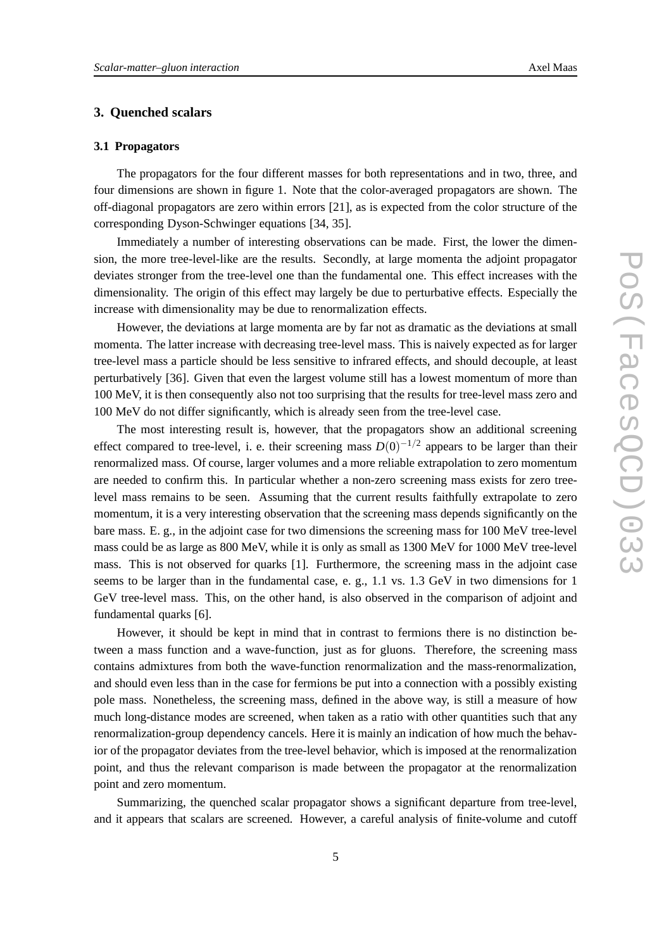# **3. Quenched scalars**

# **3.1 Propagators**

The propagators for the four different masses for both representations and in two, three, and four dimensions are shown in figure 1. Note that the color-averaged propagators are shown. The off-diagonal propagators are zero within errors [21], as is expected from the color structure of the corresponding Dyson-Schwinger equations [34, 35].

Immediately a number of interesting observations can be made. First, the lower the dimension, the more tree-level-like are the results. Secondly, at large momenta the adjoint propagator deviates stronger from the tree-level one than the fundamental one. This effect increases with the dimensionality. The origin of this effect may largely be due to perturbative effects. Especially the increase with dimensionality may be due to renormalization effects.

However, the deviations at large momenta are by far not as dramatic as the deviations at small momenta. The latter increase with decreasing tree-level mass. This is naively expected as for larger tree-level mass a particle should be less sensitive to infrared effects, and should decouple, at least perturbatively [36]. Given that even the largest volume still has a lowest momentum of more than 100 MeV, it is then consequently also not too surprising that the results for tree-level mass zero and 100 MeV do not differ significantly, which is already seen from the tree-level case.

The most interesting result is, however, that the propagators show an additional screening effect compared to tree-level, i. e. their screening mass  $D(0)^{-1/2}$  appears to be larger than their renormalized mass. Of course, larger volumes and a more reliable extrapolation to zero momentum are needed to confirm this. In particular whether a non-zero screening mass exists for zero treelevel mass remains to be seen. Assuming that the current results faithfully extrapolate to zero momentum, it is a very interesting observation that the screening mass depends significantly on the bare mass. E. g., in the adjoint case for two dimensions the screening mass for 100 MeV tree-level mass could be as large as 800 MeV, while it is only as small as 1300 MeV for 1000 MeV tree-level mass. This is not observed for quarks [1]. Furthermore, the screening mass in the adjoint case seems to be larger than in the fundamental case, e. g., 1.1 vs. 1.3 GeV in two dimensions for 1 GeV tree-level mass. This, on the other hand, is also observed in the comparison of adjoint and fundamental quarks [6].

However, it should be kept in mind that in contrast to fermions there is no distinction between a mass function and a wave-function, just as for gluons. Therefore, the screening mass contains admixtures from both the wave-function renormalization and the mass-renormalization, and should even less than in the case for fermions be put into a connection with a possibly existing pole mass. Nonetheless, the screening mass, defined in the above way, is still a measure of how much long-distance modes are screened, when taken as a ratio with other quantities such that any renormalization-group dependency cancels. Here it is mainly an indication of how much the behavior of the propagator deviates from the tree-level behavior, which is imposed at the renormalization point, and thus the relevant comparison is made between the propagator at the renormalization point and zero momentum.

Summarizing, the quenched scalar propagator shows a significant departure from tree-level, and it appears that scalars are screened. However, a careful analysis of finite-volume and cutoff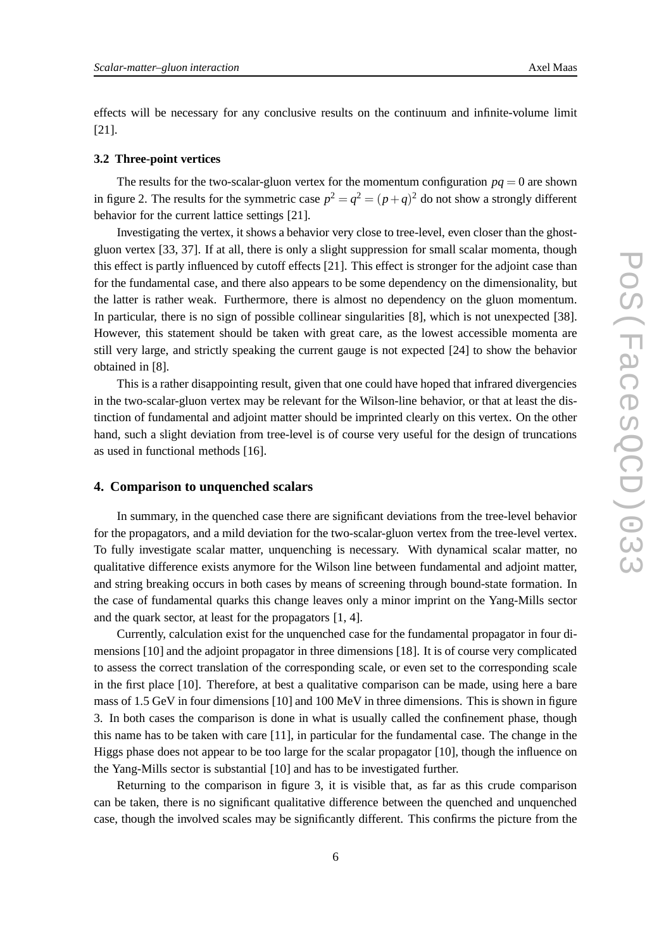effects will be necessary for any conclusive results on the continuum and infinite-volume limit [21].

#### **3.2 Three-point vertices**

The results for the two-scalar-gluon vertex for the momentum configuration  $pq = 0$  are shown in figure 2. The results for the symmetric case  $p^2 = q^2 = (p+q)^2$  do not show a strongly different behavior for the current lattice settings [21].

Investigating the vertex, it shows a behavior very close to tree-level, even closer than the ghostgluon vertex [33, 37]. If at all, there is only a slight suppression for small scalar momenta, though this effect is partly influenced by cutoff effects [21]. This effect is stronger for the adjoint case than for the fundamental case, and there also appears to be some dependency on the dimensionality, but the latter is rather weak. Furthermore, there is almost no dependency on the gluon momentum. In particular, there is no sign of possible collinear singularities [8], which is not unexpected [38]. However, this statement should be taken with great care, as the lowest accessible momenta are still very large, and strictly speaking the current gauge is not expected [24] to show the behavior obtained in [8].

This is a rather disappointing result, given that one could have hoped that infrared divergencies in the two-scalar-gluon vertex may be relevant for the Wilson-line behavior, or that at least the distinction of fundamental and adjoint matter should be imprinted clearly on this vertex. On the other hand, such a slight deviation from tree-level is of course very useful for the design of truncations as used in functional methods [16].

#### **4. Comparison to unquenched scalars**

In summary, in the quenched case there are significant deviations from the tree-level behavior for the propagators, and a mild deviation for the two-scalar-gluon vertex from the tree-level vertex. To fully investigate scalar matter, unquenching is necessary. With dynamical scalar matter, no qualitative difference exists anymore for the Wilson line between fundamental and adjoint matter, and string breaking occurs in both cases by means of screening through bound-state formation. In the case of fundamental quarks this change leaves only a minor imprint on the Yang-Mills sector and the quark sector, at least for the propagators [1, 4].

Currently, calculation exist for the unquenched case for the fundamental propagator in four dimensions [10] and the adjoint propagator in three dimensions [18]. It is of course very complicated to assess the correct translation of the corresponding scale, or even set to the corresponding scale in the first place [10]. Therefore, at best a qualitative comparison can be made, using here a bare mass of 1.5 GeV in four dimensions [10] and 100 MeV in three dimensions. This is shown in figure 3. In both cases the comparison is done in what is usually called the confinement phase, though this name has to be taken with care [11], in particular for the fundamental case. The change in the Higgs phase does not appear to be too large for the scalar propagator [10], though the influence on the Yang-Mills sector is substantial [10] and has to be investigated further.

Returning to the comparison in figure 3, it is visible that, as far as this crude comparison can be taken, there is no significant qualitative difference between the quenched and unquenched case, though the involved scales may be significantly different. This confirms the picture from the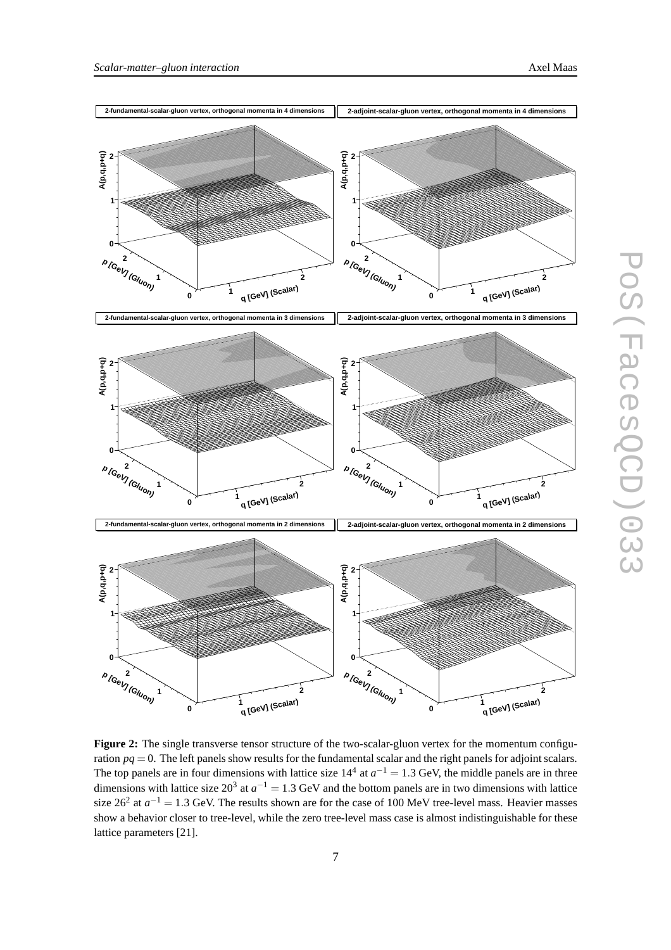

**Figure 2:** The single transverse tensor structure of the two-scalar-gluon vertex for the momentum configuration  $pq = 0$ . The left panels show results for the fundamental scalar and the right panels for adjoint scalars. The top panels are in four dimensions with lattice size  $14^4$  at  $a^{-1} = 1.3$  GeV, the middle panels are in three dimensions with lattice size  $20^3$  at  $a^{-1} = 1.3$  GeV and the bottom panels are in two dimensions with lattice size  $26^2$  at  $a^{-1} = 1.3$  GeV. The results shown are for the case of 100 MeV tree-level mass. Heavier masses show a behavior closer to tree-level, while the zero tree-level mass case is almost indistinguishable for these lattice parameters [21].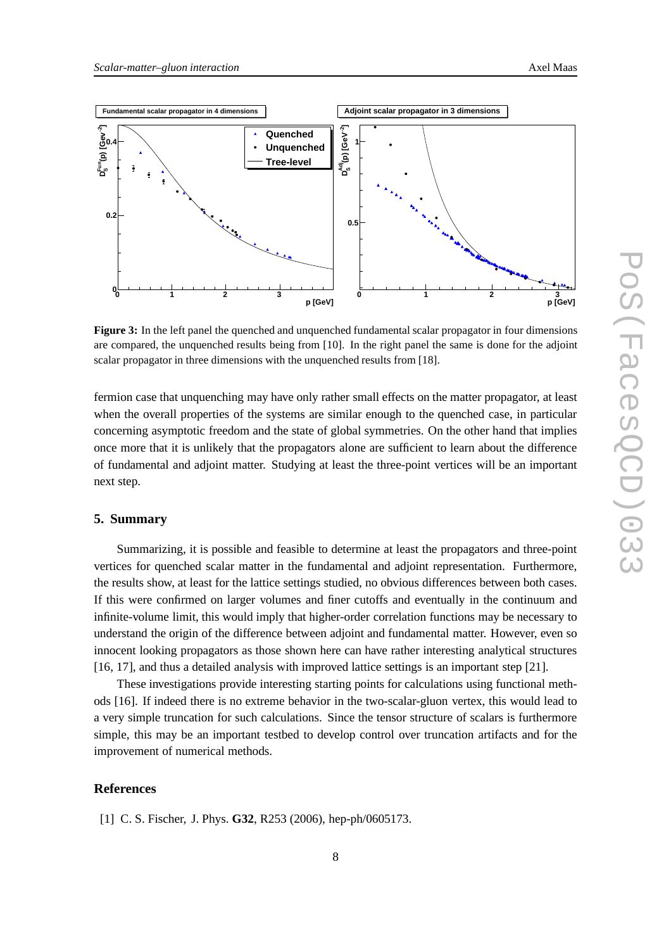

**Figure 3:** In the left panel the quenched and unquenched fundamental scalar propagator in four dimensions are compared, the unquenched results being from [10]. In the right panel the same is done for the adjoint scalar propagator in three dimensions with the unquenched results from [18].

fermion case that unquenching may have only rather small effects on the matter propagator, at least when the overall properties of the systems are similar enough to the quenched case, in particular concerning asymptotic freedom and the state of global symmetries. On the other hand that implies once more that it is unlikely that the propagators alone are sufficient to learn about the difference of fundamental and adjoint matter. Studying at least the three-point vertices will be an important next step.

#### **5. Summary**

Summarizing, it is possible and feasible to determine at least the propagators and three-point vertices for quenched scalar matter in the fundamental and adjoint representation. Furthermore, the results show, at least for the lattice settings studied, no obvious differences between both cases. If this were confirmed on larger volumes and finer cutoffs and eventually in the continuum and infinite-volume limit, this would imply that higher-order correlation functions may be necessary to understand the origin of the difference between adjoint and fundamental matter. However, even so innocent looking propagators as those shown here can have rather interesting analytical structures [16, 17], and thus a detailed analysis with improved lattice settings is an important step [21].

These investigations provide interesting starting points for calculations using functional methods [16]. If indeed there is no extreme behavior in the two-scalar-gluon vertex, this would lead to a very simple truncation for such calculations. Since the tensor structure of scalars is furthermore simple, this may be an important testbed to develop control over truncation artifacts and for the improvement of numerical methods.

### **References**

[1] C. S. Fischer, J. Phys. **G32**, R253 (2006), hep-ph/0605173.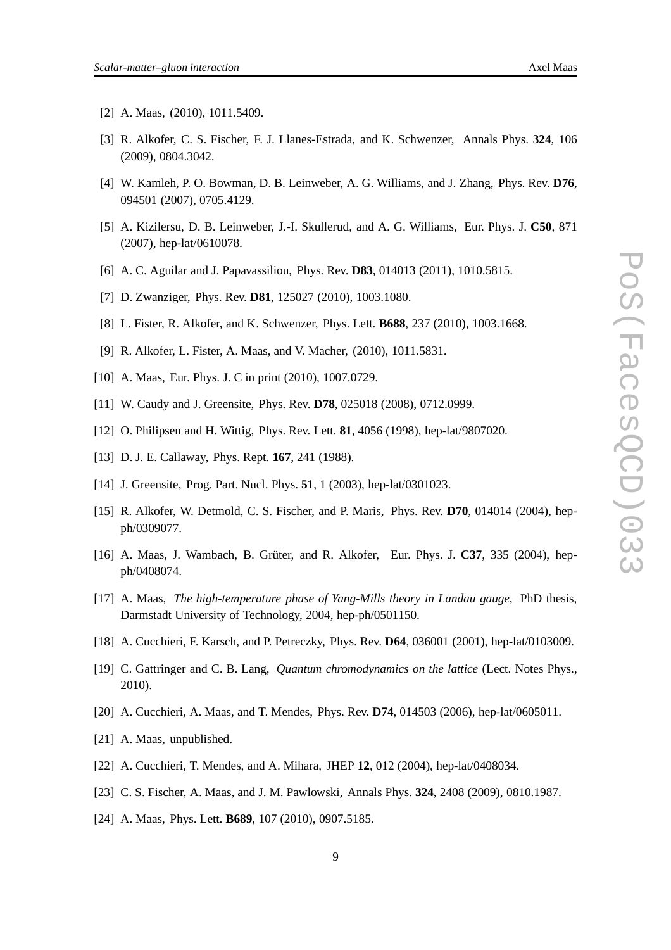- [2] A. Maas, (2010), 1011.5409.
- [3] R. Alkofer, C. S. Fischer, F. J. Llanes-Estrada, and K. Schwenzer, Annals Phys. **324**, 106 (2009), 0804.3042.
- [4] W. Kamleh, P. O. Bowman, D. B. Leinweber, A. G. Williams, and J. Zhang, Phys. Rev. **D76**, 094501 (2007), 0705.4129.
- [5] A. Kizilersu, D. B. Leinweber, J.-I. Skullerud, and A. G. Williams, Eur. Phys. J. **C50**, 871 (2007), hep-lat/0610078.
- [6] A. C. Aguilar and J. Papavassiliou, Phys. Rev. **D83**, 014013 (2011), 1010.5815.
- [7] D. Zwanziger, Phys. Rev. **D81**, 125027 (2010), 1003.1080.
- [8] L. Fister, R. Alkofer, and K. Schwenzer, Phys. Lett. **B688**, 237 (2010), 1003.1668.
- [9] R. Alkofer, L. Fister, A. Maas, and V. Macher, (2010), 1011.5831.
- [10] A. Maas, Eur. Phys. J. C in print (2010), 1007.0729.
- [11] W. Caudy and J. Greensite, Phys. Rev. **D78**, 025018 (2008), 0712.0999.
- [12] O. Philipsen and H. Wittig, Phys. Rev. Lett. **81**, 4056 (1998), hep-lat/9807020.
- [13] D. J. E. Callaway, Phys. Rept. **167**, 241 (1988).
- [14] J. Greensite, Prog. Part. Nucl. Phys. **51**, 1 (2003), hep-lat/0301023.
- [15] R. Alkofer, W. Detmold, C. S. Fischer, and P. Maris, Phys. Rev. **D70**, 014014 (2004), hepph/0309077.
- [16] A. Maas, J. Wambach, B. Grüter, and R. Alkofer, Eur. Phys. J. **C37**, 335 (2004), hepph/0408074.
- [17] A. Maas, *The high-temperature phase of Yang-Mills theory in Landau gauge*, PhD thesis, Darmstadt University of Technology, 2004, hep-ph/0501150.
- [18] A. Cucchieri, F. Karsch, and P. Petreczky, Phys. Rev. **D64**, 036001 (2001), hep-lat/0103009.
- [19] C. Gattringer and C. B. Lang, *Quantum chromodynamics on the lattice* (Lect. Notes Phys., 2010).
- [20] A. Cucchieri, A. Maas, and T. Mendes, Phys. Rev. **D74**, 014503 (2006), hep-lat/0605011.
- [21] A. Maas, unpublished.
- [22] A. Cucchieri, T. Mendes, and A. Mihara, JHEP **12**, 012 (2004), hep-lat/0408034.
- [23] C. S. Fischer, A. Maas, and J. M. Pawlowski, Annals Phys. **324**, 2408 (2009), 0810.1987.
- [24] A. Maas, Phys. Lett. **B689**, 107 (2010), 0907.5185.